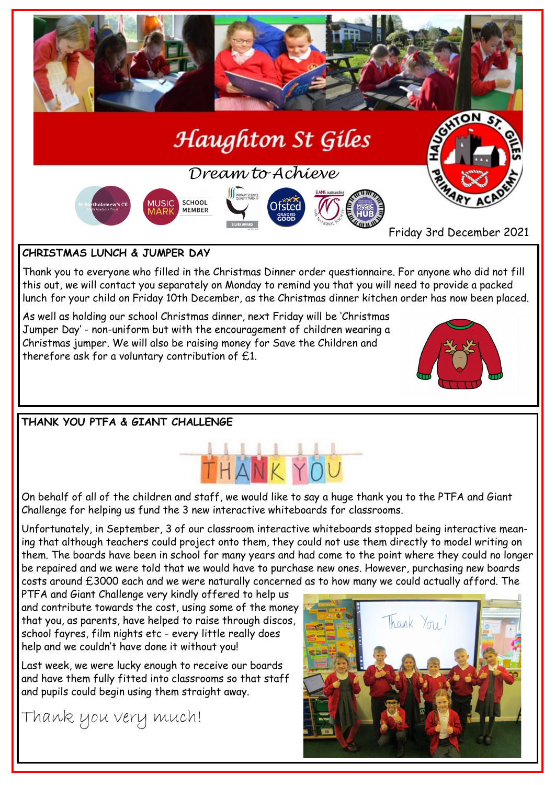

# **CHRISTMAS LUNCH & JUMPER DAY**

Thank you to everyone who filled in the Christmas Dinner order questionnaire. For anyone who did not fill this out, we will contact you separately on Monday to remind you that you will need to provide a packed lunch for your child on Friday 10th December, as the Christmas dinner kitchen order has now been placed.

As well as holding our school Christmas dinner, next Friday will be 'Christmas Jumper Day' - non-uniform but with the encouragement of children wearing a Christmas jumper. We will also be raising money for Save the Children and therefore ask for a voluntary contribution of £1.



**THANK YOU PTFA & GIANT CHALLENGE**



On behalf of all of the children and staff, we would like to say a huge thank you to the PTFA and Giant Challenge for helping us fund the 3 new interactive whiteboards for classrooms.

Unfortunately, in September, 3 of our classroom interactive whiteboards stopped being interactive meaning that although teachers could project onto them, they could not use them directly to model writing on them. The boards have been in school for many years and had come to the point where they could no longer be repaired and we were told that we would have to purchase new ones. However, purchasing new boards costs around £3000 each and we were naturally concerned as to how many we could actually afford. The

PTFA and Giant Challenge very kindly offered to help us and contribute towards the cost, using some of the money that you, as parents, have helped to raise through discos, school fayres, film nights etc - every little really does help and we couldn't have done it without you!

Last week, we were lucky enough to receive our boards and have them fully fitted into classrooms so that staff and pupils could begin using them straight away.

Thank you very much!

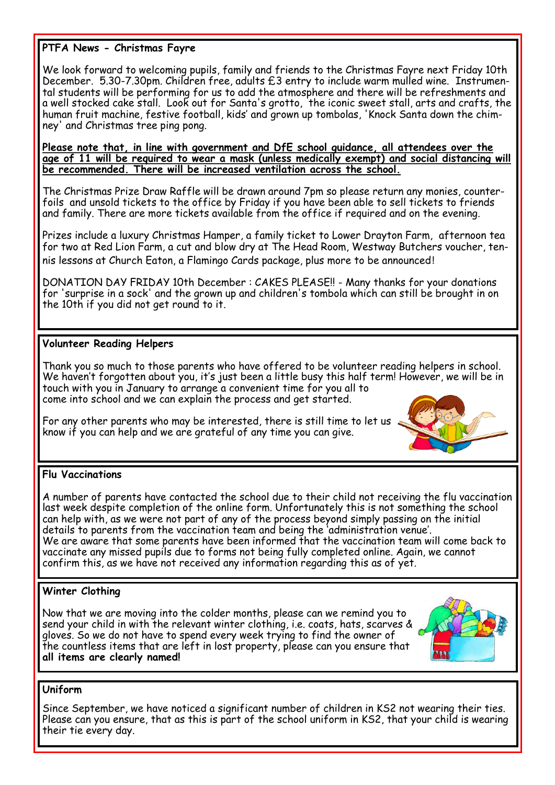### **PTFA News - Christmas Fayre**

We look forward to welcoming pupils, family and friends to the Christmas Fayre next Friday 10th December. 5.30-7.30pm. Children free, adults £3 entry to include warm mulled wine. Instrumental students will be performing for us to add the atmosphere and there will be refreshments and a well stocked cake stall. Look out for Santa's grotto, the iconic sweet stall, arts and crafts, the human fruit machine, festive football, kids' and grown up tombolas, 'Knock Santa down the chimney' and Christmas tree ping pong.

**Please note that, in line with government and DfE school guidance, all attendees over the age of 11 will be required to wear a mask (unless medically exempt) and social distancing will be recommended. There will be increased ventilation across the school.**

The Christmas Prize Draw Raffle will be drawn around 7pm so please return any monies, counterfoils and unsold tickets to the office by Friday if you have been able to sell tickets to friends and family. There are more tickets available from the office if required and on the evening.

Prizes include a luxury Christmas Hamper, a family ticket to Lower Drayton Farm, afternoon tea for two at Red Lion Farm, a cut and blow dry at The Head Room, Westway Butchers voucher, tennis lessons at Church Eaton, a Flamingo Cards package, plus more to be announced!

DONATION DAY FRIDAY 10th December : CAKES PLEASE!! - Many thanks for your donations for 'surprise in a sock' and the grown up and children's tombola which can still be brought in on the 10th if you did not get round to it.

#### **Volunteer Reading Helpers**

Thank you so much to those parents who have offered to be volunteer reading helpers in school. We haven't forgotten about you, it's just been a little busy this half term! However, we will be in touch with you in January to arrange a convenient time for you all to come into school and we can explain the process and get started.

For any other parents who may be interested, there is still time to let us know if you can help and we are grateful of any time you can give.



#### **Flu Vaccinations**

A number of parents have contacted the school due to their child not receiving the flu vaccination last week despite completion of the online form. Unfortunately this is not something the school can help with, as we were not part of any of the process beyond simply passing on the initial details to parents from the vaccination team and being the 'administration venue'. We are aware that some parents have been informed that the vaccination team will come back to vaccinate any missed pupils due to forms not being fully completed online. Again, we cannot confirm this, as we have not received any information regarding this as of yet.

#### **Winter Clothing**

Now that we are moving into the colder months, please can we remind you to send your child in with the relevant winter clothing, i.e. coats, hats, scarves & gloves. So we do not have to spend every week trying to find the owner of the countless items that are left in lost property, please can you ensure that **all items are clearly named!** 



#### **Uniform**

Since September, we have noticed a significant number of children in KS2 not wearing their ties. Please can you ensure, that as this is part of the school uniform in KS2, that your child is wearing their tie every day.